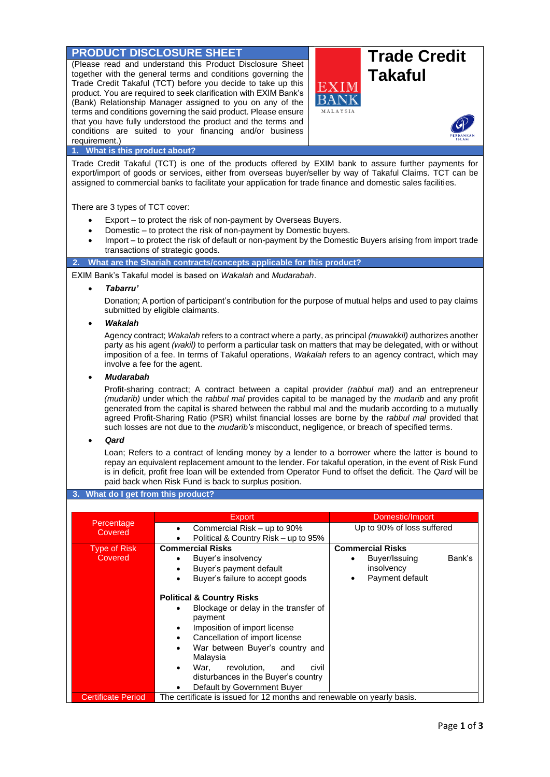# **PRODUCT DISCLOSURE SHEET Trade Credit**

(Please read and understand this Product Disclosure Sheet together with the general terms and conditions governing the Trade Credit Takaful (TCT) before you decide to take up this product. You are required to seek clarification with EXIM Bank's (Bank) Relationship Manager assigned to you on any of the terms and conditions governing the said product. Please ensure that you have fully understood the product and the terms and conditions are suited to your financing and/or business requirement.)



# **1. What is this product about?**

Trade Credit Takaful (TCT) is one of the products offered by EXIM bank to assure further payments for export/import of goods or services, either from overseas buyer/seller by way of Takaful Claims. TCT can be assigned to commercial banks to facilitate your application for trade finance and domestic sales facilities.

There are 3 types of TCT cover:

- Export to protect the risk of non-payment by Overseas Buyers.
- Domestic to protect the risk of non-payment by Domestic buyers.
- Import to protect the risk of default or non-payment by the Domestic Buyers arising from import trade transactions of strategic goods.

**2. What are the Shariah contracts/concepts applicable for this product?**

EXIM Bank's Takaful model is based on *Wakalah* and *Mudarabah*.

• *Tabarru'*

Donation; A portion of participant's contribution for the purpose of mutual helps and used to pay claims submitted by eligible claimants.

• *Wakalah*

Agency contract; *Wakalah* refers to a contract where a party, as principal *(muwakkil)* authorizes another party as his agent *(wakil)* to perform a particular task on matters that may be delegated, with or without imposition of a fee. In terms of Takaful operations, *Wakalah* refers to an agency contract, which may involve a fee for the agent.

# • *Mudarabah*

Profit-sharing contract; A contract between a capital provider *(rabbul mal)* and an entrepreneur *(mudarib)* under which the *rabbul mal* provides capital to be managed by the *mudarib* and any profit generated from the capital is shared between the rabbul mal and the mudarib according to a mutually agreed Profit-Sharing Ratio (PSR) whilst financial losses are borne by the *rabbul mal* provided that such losses are not due to the *mudarib's* misconduct, negligence, or breach of specified terms.

• *Qard*

Loan; Refers to a contract of lending money by a lender to a borrower where the latter is bound to repay an equivalent replacement amount to the lender. For takaful operation, in the event of Risk Fund is in deficit, profit free loan will be extended from Operator Fund to offset the deficit. The *Qard* will be paid back when Risk Fund is back to surplus position.

#### **3. What do I get from this product?**

|                                | <b>Export</b>                                                                                                                                                                                                                                                                                                                                   | Domestic/Import                                                                          |
|--------------------------------|-------------------------------------------------------------------------------------------------------------------------------------------------------------------------------------------------------------------------------------------------------------------------------------------------------------------------------------------------|------------------------------------------------------------------------------------------|
| Percentage<br>Covered          | Commercial Risk – up to 90%<br>Political & Country Risk – up to 95%                                                                                                                                                                                                                                                                             | Up to 90% of loss suffered                                                               |
| <b>Type of Risk</b><br>Covered | <b>Commercial Risks</b><br>Buyer's insolvency<br>Buyer's payment default<br>Buyer's failure to accept goods                                                                                                                                                                                                                                     | <b>Commercial Risks</b><br>Buyer/Issuing<br>Bank's<br>insolvency<br>Payment default<br>٠ |
|                                | <b>Political &amp; Country Risks</b><br>Blockage or delay in the transfer of<br>$\bullet$<br>payment<br>Imposition of import license<br>Cancellation of import license<br>War between Buyer's country and<br>Malaysia<br>revolution.<br>War.<br>and<br>civil<br>$\bullet$<br>disturbances in the Buyer's country<br>Default by Government Buyer |                                                                                          |
| <b>Certificate Period</b>      | The certificate is issued for 12 months and renewable on yearly basis.                                                                                                                                                                                                                                                                          |                                                                                          |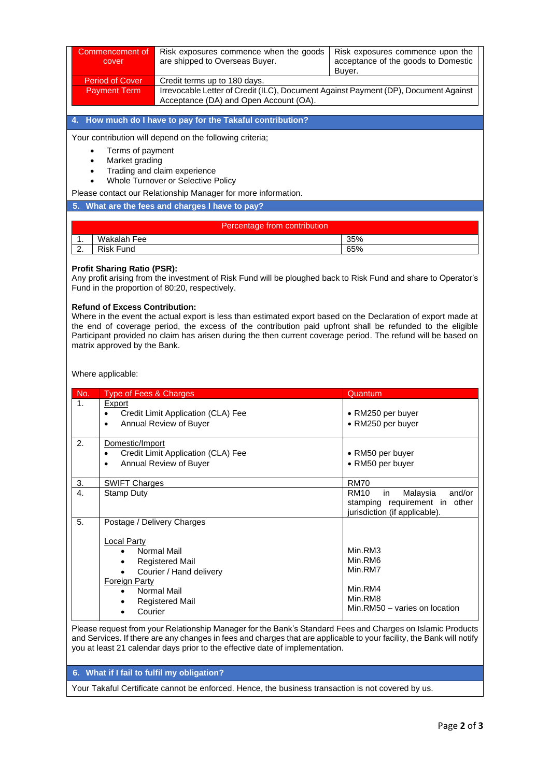| Commencement of<br>cover | Risk exposures commence when the goods<br>are shipped to Overseas Buyer.                                                      | Risk exposures commence upon the<br>acceptance of the goods to Domestic<br>Buver. |
|--------------------------|-------------------------------------------------------------------------------------------------------------------------------|-----------------------------------------------------------------------------------|
| Period of Cover          | Credit terms up to 180 days.                                                                                                  |                                                                                   |
| <b>Payment Term</b>      | Irrevocable Letter of Credit (ILC), Document Against Payment (DP), Document Against<br>Acceptance (DA) and Open Account (OA). |                                                                                   |
|                          |                                                                                                                               |                                                                                   |

**4. How much do I have to pay for the Takaful contribution?**

Your contribution will depend on the following criteria:

- Terms of payment
- Market grading
- Trading and claim experience
- Whole Turnover or Selective Policy
- Please contact our Relationship Manager for more information.

### **5. What are the fees and charges I have to pay?**

| Percentage from contribution |                  |     |
|------------------------------|------------------|-----|
| . .                          | Wakalah Fee      | 35% |
| <u>.</u>                     | <b>Risk Fund</b> | 65% |

### **Profit Sharing Ratio (PSR):**

Any profit arising from the investment of Risk Fund will be ploughed back to Risk Fund and share to Operator's Fund in the proportion of 80:20, respectively.

### **Refund of Excess Contribution:**

Where in the event the actual export is less than estimated export based on the Declaration of export made at the end of coverage period, the excess of the contribution paid upfront shall be refunded to the eligible Participant provided no claim has arisen during the then current coverage period. The refund will be based on matrix approved by the Bank.

Where applicable:

| No.            | Type of Fees & Charges                                                                                                                                                                                 | Quantum                                                                                                      |
|----------------|--------------------------------------------------------------------------------------------------------------------------------------------------------------------------------------------------------|--------------------------------------------------------------------------------------------------------------|
| $\mathbf{1}$ . | Export<br>Credit Limit Application (CLA) Fee<br>Annual Review of Buyer<br>$\bullet$                                                                                                                    | • RM250 per buyer<br>• RM250 per buyer                                                                       |
| 2.             | Domestic/Import<br>Credit Limit Application (CLA) Fee<br>Annual Review of Buyer<br>$\bullet$                                                                                                           | • RM50 per buyer<br>• RM50 per buyer                                                                         |
| 3.             | <b>SWIFT Charges</b>                                                                                                                                                                                   | <b>RM70</b>                                                                                                  |
| 4.             | Stamp Duty                                                                                                                                                                                             | <b>RM10</b><br>Malaysia<br>and/or<br>in<br>stamping requirement in<br>other<br>jurisdiction (if applicable). |
| 5.             | Postage / Delivery Charges<br><b>Local Party</b><br>Normal Mail<br><b>Registered Mail</b><br>$\bullet$<br>Courier / Hand delivery<br>Foreign Party<br>Normal Mail<br><b>Registered Mail</b><br>Courier | Min.RM3<br>Min.RM6<br>Min.RM7<br>Min.RM4<br>Min.RM8<br>Min.RM50 - varies on location                         |

Please request from your Relationship Manager for the Bank's Standard Fees and Charges on Islamic Products and Services. If there are any changes in fees and charges that are applicable to your facility, the Bank will notify you at least 21 calendar days prior to the effective date of implementation.

# **6. What if I fail to fulfil my obligation?**

Your Takaful Certificate cannot be enforced. Hence, the business transaction is not covered by us.